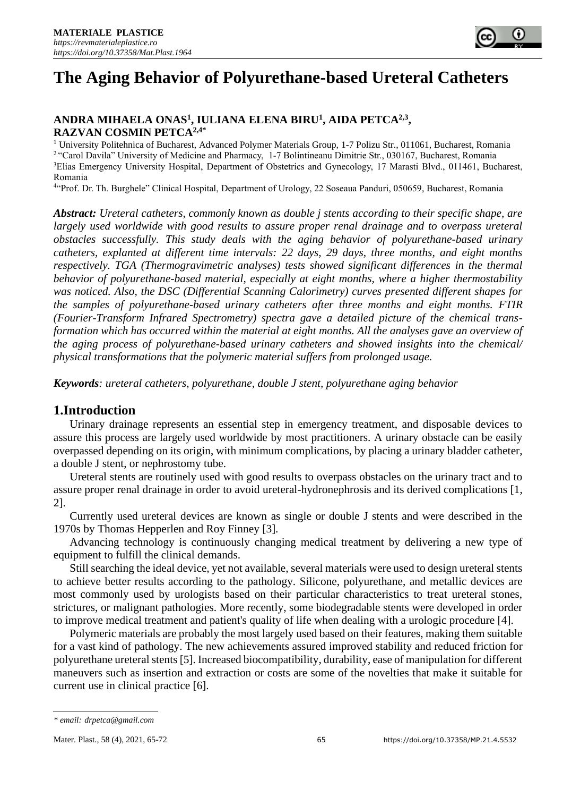# **The Aging Behavior of Polyurethane-based Ureteral Catheters**

## **ANDRA MIHAELA ONAS 1 , IULIANA ELENA BIRU<sup>1</sup> , AIDA PETCA2,3 , RAZVAN COSMIN PETCA2,4\***

<sup>1</sup> University Politehnica of Bucharest, Advanced Polymer Materials Group, 1-7 Polizu Str., 011061, Bucharest, Romania <sup>2</sup> "Carol Davila" University of Medicine and Pharmacy, 1-7 Bolintineanu Dimitrie Str., 030167, Bucharest, Romania <sup>3</sup>Elias Emergency University Hospital, Department of Obstetrics and Gynecology, 17 Marasti Blvd., 011461, Bucharest, Romania

4 "Prof. Dr. Th. Burghele" Clinical Hospital, Department of Urology, 22 Soseaua Panduri, 050659, Bucharest, Romania

*Abstract: Ureteral catheters, commonly known as double j stents according to their specific shape, are largely used worldwide with good results to assure proper renal drainage and to overpass ureteral obstacles successfully. This study deals with the aging behavior of polyurethane-based urinary catheters, explanted at different time intervals: 22 days, 29 days, three months, and eight months respectively. TGA (Thermogravimetric analyses) tests showed significant differences in the thermal behavior of polyurethane-based material, especially at eight months, where a higher thermostability was noticed. Also, the DSC (Differential Scanning Calorimetry) curves presented different shapes for the samples of polyurethane-based urinary catheters after three months and eight months. FTIR (Fourier-Transform Infrared Spectrometry) spectra gave a detailed picture of the chemical transformation which has occurred within the material at eight months. All the analyses gave an overview of the aging process of polyurethane-based urinary catheters and showed insights into the chemical/ physical transformations that the polymeric material suffers from prolonged usage.*

*Keywords: ureteral catheters, polyurethane, double J stent, polyurethane aging behavior*

# **1.Introduction**

Urinary drainage represents an essential step in emergency treatment, and disposable devices to assure this process are largely used worldwide by most practitioners. A urinary obstacle can be easily overpassed depending on its origin, with minimum complications, by placing a urinary bladder catheter, a double J stent, or nephrostomy tube.

Ureteral stents are routinely used with good results to overpass obstacles on the urinary tract and to assure proper renal drainage in order to avoid ureteral-hydronephrosis and its derived complications [1, 2].

Currently used ureteral devices are known as single or double J stents and were described in the 1970s by Thomas Hepperlen and Roy Finney [3].

Advancing technology is continuously changing medical treatment by delivering a new type of equipment to fulfill the clinical demands.

Still searching the ideal device, yet not available, several materials were used to design ureteral stents to achieve better results according to the pathology. Silicone, polyurethane, and metallic devices are most commonly used by urologists based on their particular characteristics to treat ureteral stones, strictures, or malignant pathologies. More recently, some biodegradable stents were developed in order to improve medical treatment and patient's quality of life when dealing with a urologic procedure [4].

Polymeric materials are probably the most largely used based on their features, making them suitable for a vast kind of pathology. The new achievements assured improved stability and reduced friction for polyurethane ureteral stents [5]. Increased biocompatibility, durability, ease of manipulation for different maneuvers such as insertion and extraction or costs are some of the novelties that make it suitable for current use in clinical practice [6].

*<sup>\*</sup> email: drpetca@gmail.com*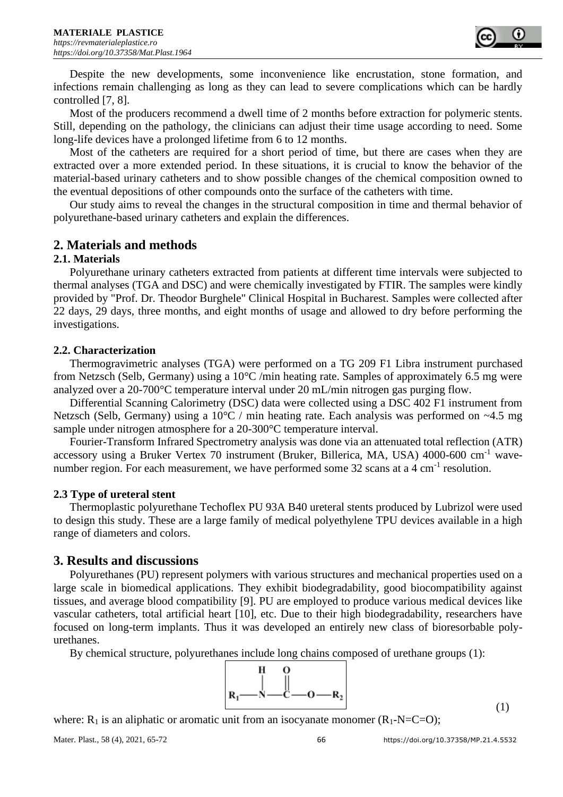Despite the new developments, some inconvenience like encrustation, stone formation, and infections remain challenging as long as they can lead to severe complications which can be hardly controlled [7, 8].

Most of the producers recommend a dwell time of 2 months before extraction for polymeric stents. Still, depending on the pathology, the clinicians can adjust their time usage according to need. Some long-life devices have a prolonged lifetime from 6 to 12 months.

Most of the catheters are required for a short period of time, but there are cases when they are extracted over a more extended period. In these situations, it is crucial to know the behavior of the material-based urinary catheters and to show possible changes of the chemical composition owned to the eventual depositions of other compounds onto the surface of the catheters with time.

Our study aims to reveal the changes in the structural composition in time and thermal behavior of polyurethane-based urinary catheters and explain the differences.

# **2. Materials and methods**

### **2.1. Materials**

Polyurethane urinary catheters extracted from patients at different time intervals were subjected to thermal analyses (TGA and DSC) and were chemically investigated by FTIR. The samples were kindly provided by "Prof. Dr. Theodor Burghele" Clinical Hospital in Bucharest. Samples were collected after 22 days, 29 days, three months, and eight months of usage and allowed to dry before performing the investigations.

## **2.2. Characterization**

Thermogravimetric analyses (TGA) were performed on a TG 209 F1 Libra instrument purchased from Netzsch (Selb, Germany) using a  $10^{\circ}$ C /min heating rate. Samples of approximately 6.5 mg were analyzed over a 20-700°C temperature interval under 20 mL/min nitrogen gas purging flow.

Differential Scanning Calorimetry (DSC) data were collected using a DSC 402 F1 instrument from Netzsch (Selb, Germany) using a 10°C / min heating rate. Each analysis was performed on ~4.5 mg sample under nitrogen atmosphere for a 20-300°C temperature interval.

Fourier-Transform Infrared Spectrometry analysis was done via an attenuated total reflection (ATR) accessory using a Bruker Vertex 70 instrument (Bruker, Billerica, MA, USA) 4000-600 cm-1 wavenumber region. For each measurement, we have performed some 32 scans at a 4 cm<sup>-1</sup> resolution.

### **2.3 Type of ureteral stent**

Thermoplastic polyurethane Techoflex PU 93A B40 ureteral stents produced by Lubrizol were used to design this study. These are a large family of medical polyethylene TPU devices available in a high range of diameters and colors.

# **3. Results and discussions**

Polyurethanes (PU) represent polymers with various structures and mechanical properties used on a large scale in biomedical applications. They exhibit biodegradability, good biocompatibility against tissues, and average blood compatibility [9]. PU are employed to produce various medical devices like vascular catheters, total artificial heart [10], etc. Due to their high biodegradability, researchers have focused on long-term implants. Thus it was developed an entirely new class of bioresorbable polyurethanes.

By chemical structure, polyurethanes include long chains composed of urethane groups (1):



where:  $R_1$  is an aliphatic or aromatic unit from an isocyanate monomer  $(R_1-N=C=O)$ ;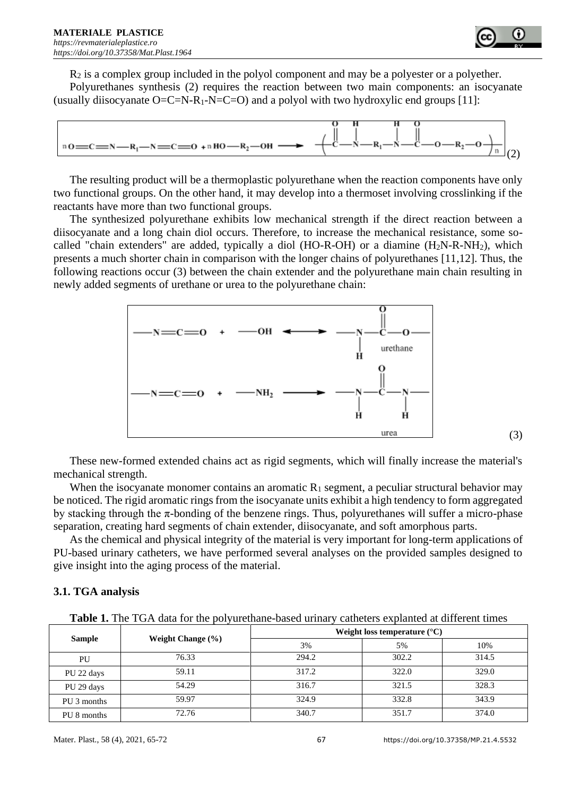

 $R_2$  is a complex group included in the polyol component and may be a polyester or a polyether. Polyurethanes synthesis (2) requires the reaction between two main components: an isocyanate (usually diisocyanate  $O=C=N-R_1-N=C=O$ ) and a polyol with two hydroxylic end groups [11]:



The resulting product will be a thermoplastic polyurethane when the reaction components have only two functional groups. On the other hand, it may develop into a thermoset involving crosslinking if the reactants have more than two functional groups.

The synthesized polyurethane exhibits low mechanical strength if the direct reaction between a diisocyanate and a long chain diol occurs. Therefore, to increase the mechanical resistance, some socalled "chain extenders" are added, typically a diol (HO-R-OH) or a diamine  $(H<sub>2</sub>N-R-NH<sub>2</sub>)$ , which presents a much shorter chain in comparison with the longer chains of polyurethanes [11,12]. Thus, the following reactions occur (3) between the chain extender and the polyurethane main chain resulting in newly added segments of urethane or urea to the polyurethane chain:



These new-formed extended chains act as rigid segments, which will finally increase the material's mechanical strength.

When the isocyanate monomer contains an aromatic  $R_1$  segment, a peculiar structural behavior may be noticed. The rigid aromatic rings from the isocyanate units exhibit a high tendency to form aggregated by stacking through the  $\pi$ -bonding of the benzene rings. Thus, polyurethanes will suffer a micro-phase separation, creating hard segments of chain extender, diisocyanate, and soft amorphous parts.

As the chemical and physical integrity of the material is very important for long-term applications of PU-based urinary catheters, we have performed several analyses on the provided samples designed to give insight into the aging process of the material.

# **3.1. TGA analysis**

|  |  |  |  |  |  |  |  | <b>Table 1.</b> The TGA data for the polyurethane-based urinary catheters explanted at different times |
|--|--|--|--|--|--|--|--|--------------------------------------------------------------------------------------------------------|
|--|--|--|--|--|--|--|--|--------------------------------------------------------------------------------------------------------|

|               |                       | Weight loss temperature $(^{\circ}C)$ |       |       |  |  |
|---------------|-----------------------|---------------------------------------|-------|-------|--|--|
| <b>Sample</b> | Weight Change $(\% )$ | 3%                                    | 5%    | 10%   |  |  |
| PU            | 76.33                 | 294.2                                 | 302.2 | 314.5 |  |  |
| PU 22 days    | 59.11                 | 317.2                                 | 322.0 | 329.0 |  |  |
| PU 29 days    | 54.29                 | 316.7                                 | 321.5 | 328.3 |  |  |
| PU 3 months   | 59.97                 | 324.9                                 | 332.8 | 343.9 |  |  |
| PU 8 months   | 72.76                 | 340.7                                 | 351.7 | 374.0 |  |  |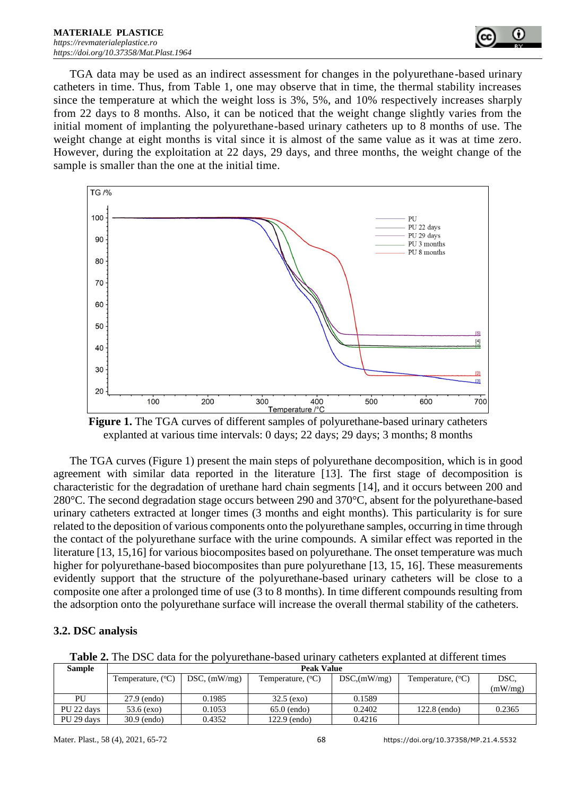

TGA data may be used as an indirect assessment for changes in the polyurethane-based urinary catheters in time. Thus, from Table 1, one may observe that in time, the thermal stability increases since the temperature at which the weight loss is 3%, 5%, and 10% respectively increases sharply from 22 days to 8 months. Also, it can be noticed that the weight change slightly varies from the initial moment of implanting the polyurethane-based urinary catheters up to 8 months of use. The weight change at eight months is vital since it is almost of the same value as it was at time zero. However, during the exploitation at 22 days, 29 days, and three months, the weight change of the sample is smaller than the one at the initial time.



**Figure 1.** The TGA curves of different samples of polyurethane-based urinary catheters explanted at various time intervals: 0 days; 22 days; 29 days; 3 months; 8 months

The TGA curves (Figure 1) present the main steps of polyurethane decomposition, which is in good agreement with similar data reported in the literature [13]. The first stage of decomposition is characteristic for the degradation of urethane hard chain segments [14], and it occurs between 200 and 280°C. The second degradation stage occurs between 290 and 370°C, absent for the polyurethane-based urinary catheters extracted at longer times (3 months and eight months). This particularity is for sure related to the deposition of various components onto the polyurethane samples, occurring in time through the contact of the polyurethane surface with the urine compounds. A similar effect was reported in the literature [13, 15,16] for various biocomposites based on polyurethane. The onset temperature was much higher for polyurethane-based biocomposites than pure polyurethane [13, 15, 16]. These measurements evidently support that the structure of the polyurethane-based urinary catheters will be close to a composite one after a prolonged time of use (3 to 8 months). In time different compounds resulting from the adsorption onto the polyurethane surface will increase the overall thermal stability of the catheters.

### **3.2. DSC analysis**

**Table 2.** The DSC data for the polyurethane-based urinary catheters explanted at different times

| <b>Sample</b> | <b>Peak Value</b>          |                 |                            |              |                            |         |  |  |
|---------------|----------------------------|-----------------|----------------------------|--------------|----------------------------|---------|--|--|
|               | Temperature, $(^{\circ}C)$ | $DSC$ , (mW/mg) | Temperature, $(^{\circ}C)$ | DSC, (mW/mg) | Temperature, $(^{\circ}C)$ | DSC.    |  |  |
|               |                            |                 |                            |              |                            | (mW/mg) |  |  |
| PU            | 27.9 (endo)                | 0.1985          | $32.5$ (exo)               | 0.1589       |                            |         |  |  |
| PU 22 days    | $53.6$ (exo)               | 0.1053          | $65.0$ (endo)              | 0.2402       | 122.8 (endo)               | 0.2365  |  |  |
| PU 29 days    | $30.9$ (endo)              | 0.4352          | 122.9 (endo)               | 0.4216       |                            |         |  |  |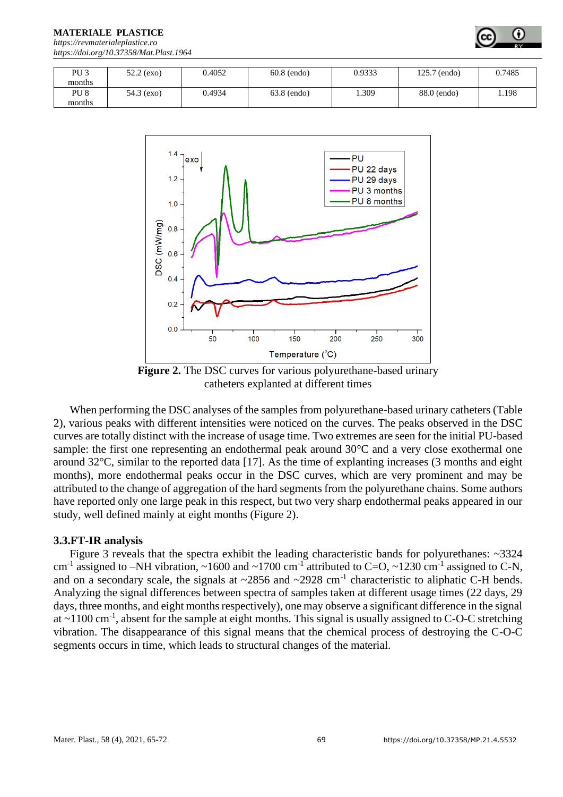**MATERIALE PLASTICE** 

*[https://revmaterialeplastice.ro](https://revmaterialeplastice.ro/) https://doi.org/10.37358/Mat.Plast.1964*

| PU <sub>3</sub> | $52.2$ (exo) | 0.4052 | $60.8$ (endo) | 0.9333 | 125.7 (endo) | 0.7485 |
|-----------------|--------------|--------|---------------|--------|--------------|--------|
|                 |              |        |               |        |              |        |
| months          |              |        |               |        |              |        |
| PU <sub>8</sub> | 54.3 (exo)   | 0.4934 | 63.8 (endo)   | .309   | 88.0 (endo)  | 1.198  |
|                 |              |        |               |        |              |        |
| months          |              |        |               |        |              |        |



**Figure 2.** The DSC curves for various polyurethane-based urinary catheters explanted at different times

When performing the DSC analyses of the samples from polyurethane-based urinary catheters (Table 2), various peaks with different intensities were noticed on the curves. The peaks observed in the DSC curves are totally distinct with the increase of usage time. Two extremes are seen for the initial PU-based sample: the first one representing an endothermal peak around 30°C and a very close exothermal one around  $32^{\circ}$ C, similar to the reported data [17]. As the time of explanting increases (3 months and eight months), more endothermal peaks occur in the DSC curves, which are very prominent and may be attributed to the change of aggregation of the hard segments from the polyurethane chains. Some authors have reported only one large peak in this respect, but two very sharp endothermal peaks appeared in our study, well defined mainly at eight months (Figure 2).

#### **3.3.FT-IR analysis**

Figure 3 reveals that the spectra exhibit the leading characteristic bands for polyurethanes: ~3324 cm<sup>-1</sup> assigned to -NH vibration,  $\sim$ 1600 and  $\sim$ 1700 cm<sup>-1</sup> attributed to C=O,  $\sim$ 1230 cm<sup>-1</sup> assigned to C-N, and on a secondary scale, the signals at  $\sim$ 2856 and  $\sim$ 2928 cm<sup>-1</sup> characteristic to aliphatic C-H bends. Analyzing the signal differences between spectra of samples taken at different usage times (22 days, 29 days, three months, and eight months respectively), one may observe a significant difference in the signal at  $\sim$ 1100 cm<sup>-1</sup>, absent for the sample at eight months. This signal is usually assigned to C-O-C stretching vibration. The disappearance of this signal means that the chemical process of destroying the C-O-C segments occurs in time, which leads to structural changes of the material.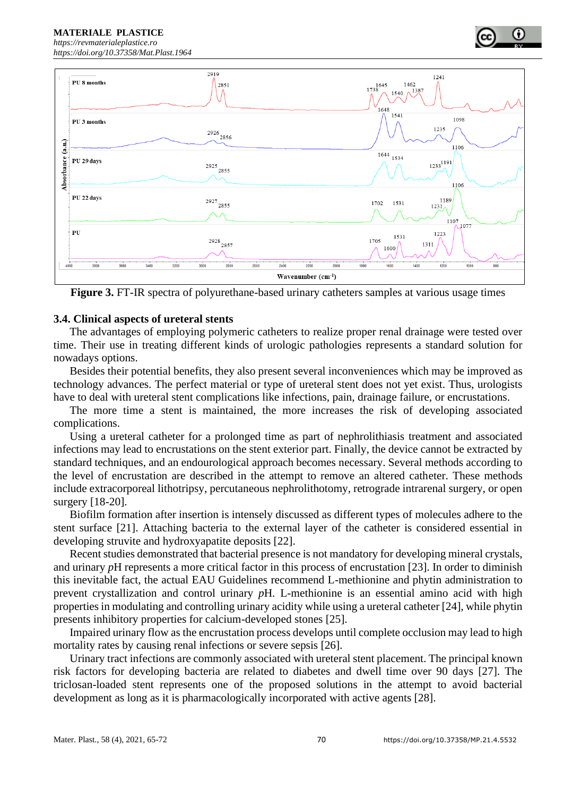**MATERIALE PLASTICE**  *[https://revmaterialeplastice.ro](https://revmaterialeplastice.ro/)*

*https://doi.org/10.37358/Mat.Plast.1964*



**Figure 3.** FT-IR spectra of polyurethane-based urinary catheters samples at various usage times

## **3.4. Clinical aspects of ureteral stents**

The advantages of employing polymeric catheters to realize proper renal drainage were tested over time. Their use in treating different kinds of urologic pathologies represents a standard solution for nowadays options.

Besides their potential benefits, they also present several inconveniences which may be improved as technology advances. The perfect material or type of ureteral stent does not yet exist. Thus, urologists have to deal with ureteral stent complications like infections, pain, drainage failure, or encrustations.

The more time a stent is maintained, the more increases the risk of developing associated complications.

Using a ureteral catheter for a prolonged time as part of nephrolithiasis treatment and associated infections may lead to encrustations on the stent exterior part. Finally, the device cannot be extracted by standard techniques, and an endourological approach becomes necessary. Several methods according to the level of encrustation are described in the attempt to remove an altered catheter. These methods include extracorporeal lithotripsy, percutaneous nephrolithotomy, retrograde intrarenal surgery, or open surgery [18-20].

Biofilm formation after insertion is intensely discussed as different types of molecules adhere to the stent surface [21]. Attaching bacteria to the external layer of the catheter is considered essential in developing struvite and hydroxyapatite deposits [22].

Recent studies demonstrated that bacterial presence is not mandatory for developing mineral crystals, and urinary *p*H represents a more critical factor in this process of encrustation [23]. In order to diminish this inevitable fact, the actual EAU Guidelines recommend L-methionine and phytin administration to prevent crystallization and control urinary *p*H. L-methionine is an essential amino acid with high properties in modulating and controlling urinary acidity while using a ureteral catheter [24], while phytin presents inhibitory properties for calcium-developed stones [25].

Impaired urinary flow as the encrustation process develops until complete occlusion may lead to high mortality rates by causing renal infections or severe sepsis [26].

Urinary tract infections are commonly associated with ureteral stent placement. The principal known risk factors for developing bacteria are related to diabetes and dwell time over 90 days [27]. The triclosan-loaded stent represents one of the proposed solutions in the attempt to avoid bacterial development as long as it is pharmacologically incorporated with active agents [28].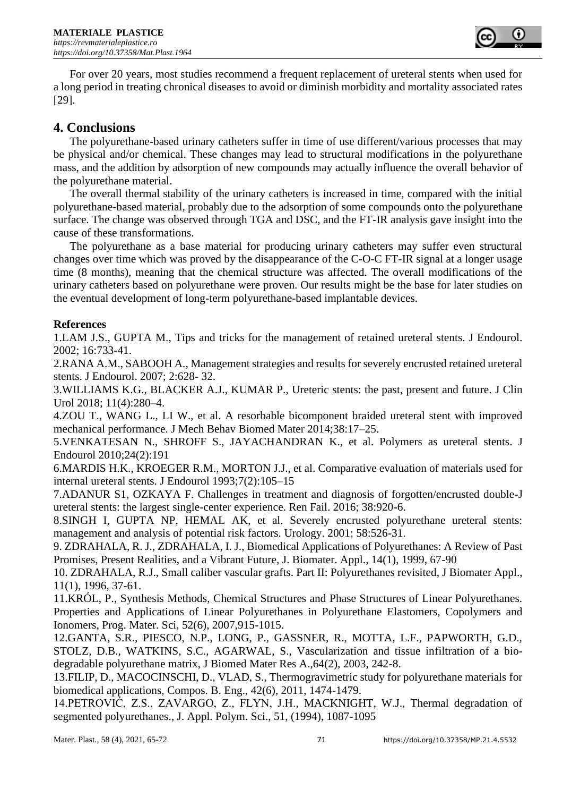

For over 20 years, most studies recommend a frequent replacement of ureteral stents when used for a long period in treating chronical diseases to avoid or diminish morbidity and mortality associated rates [29].

# **4. Conclusions**

The polyurethane-based urinary catheters suffer in time of use different/various processes that may be physical and/or chemical. These changes may lead to structural modifications in the polyurethane mass, and the addition by adsorption of new compounds may actually influence the overall behavior of the polyurethane material.

The overall thermal stability of the urinary catheters is increased in time, compared with the initial polyurethane-based material, probably due to the adsorption of some compounds onto the polyurethane surface. The change was observed through TGA and DSC, and the FT-IR analysis gave insight into the cause of these transformations.

The polyurethane as a base material for producing urinary catheters may suffer even structural changes over time which was proved by the disappearance of the C-O-C FT-IR signal at a longer usage time (8 months), meaning that the chemical structure was affected. The overall modifications of the urinary catheters based on polyurethane were proven. Our results might be the base for later studies on the eventual development of long-term polyurethane-based implantable devices.

## **References**

1.LAM J.S., GUPTA M., Tips and tricks for the management of retained ureteral stents. J Endourol. 2002; 16:733-41.

2.RANA A.M., SABOOH A., Management strategies and results for severely encrusted retained ureteral stents. J Endourol. 2007; 2:628- 32.

3.WILLIAMS K.G., BLACKER A.J., KUMAR P., Ureteric stents: the past, present and future. J Clin Urol 2018; 11(4):280–4.

4.ZOU T., WANG L., LI W., et al. A resorbable bicomponent braided ureteral stent with improved mechanical performance. J Mech Behav Biomed Mater 2014;38:17–25.

5.VENKATESAN N., SHROFF S., JAYACHANDRAN K., et al. Polymers as ureteral stents. J Endourol 2010;24(2):191

6.MARDIS H.K., KROEGER R.M., MORTON J.J., et al. Comparative evaluation of materials used for internal ureteral stents. J Endourol 1993;7(2):105–15

7.ADANUR S1, OZKAYA F. Challenges in treatment and diagnosis of forgotten/encrusted double-J ureteral stents: the largest single-center experience. Ren Fail. 2016; 38:920-6.

8.SINGH I, GUPTA NP, HEMAL AK, et al. Severely encrusted polyurethane ureteral stents: management and analysis of potential risk factors. Urology. 2001; 58:526-31.

9. ZDRAHALA, R. J., ZDRAHALA, I. J., Biomedical Applications of Polyurethanes: A Review of Past Promises, Present Realities, and a Vibrant Future, J. Biomater. Appl., 14(1), 1999, 67-90

10. ZDRAHALA, R.J., Small caliber vascular grafts. Part II: Polyurethanes revisited, J Biomater Appl., 11(1), 1996, 37-61.

11.KRÓL, P., Synthesis Methods, Chemical Structures and Phase Structures of Linear Polyurethanes. Properties and Applications of Linear Polyurethanes in Polyurethane Elastomers, Copolymers and Ionomers, Prog. Mater. Sci, 52(6), 2007,915-1015.

12.GANTA, S.R., PIESCO, N.P., LONG, P., GASSNER, R., MOTTA, L.F., PAPWORTH, G.D., STOLZ, D.B., WATKINS, S.C., AGARWAL, S., Vascularization and tissue infiltration of a biodegradable polyurethane matrix, J Biomed Mater Res A.,64(2), 2003, 242-8.

13.FILIP, D., MACOCINSCHI, D., VLAD, S., Thermogravimetric study for polyurethane materials for biomedical applications, Compos. B. Eng., 42(6), 2011, 1474-1479.

14.PETROVIĆ, Z.S., ZAVARGO, Z., FLYN, J.H., MACKNIGHT, W.J., Thermal degradation of segmented polyurethanes., J. Appl. Polym. Sci., 51, (1994), 1087-1095